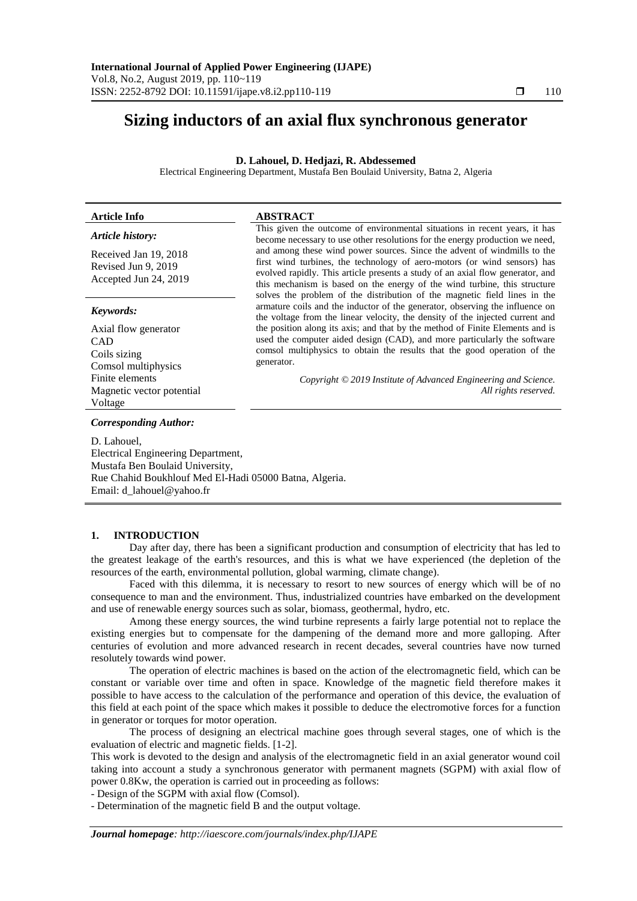# **Sizing inductors of an axial flux synchronous generator**

## **D. Lahouel, D. Hedjazi, R. Abdessemed**

Electrical Engineering Department, Mustafa Ben Boulaid University, Batna 2, Algeria

| <b>Article Info</b>                                                   | <b>ABSTRACT</b>                                                                                                                                                                                                                                                                                                                                                                                  |
|-----------------------------------------------------------------------|--------------------------------------------------------------------------------------------------------------------------------------------------------------------------------------------------------------------------------------------------------------------------------------------------------------------------------------------------------------------------------------------------|
| Article history:                                                      | This given the outcome of environmental situations in recent years, it has<br>become necessary to use other resolutions for the energy production we need,                                                                                                                                                                                                                                       |
| Received Jan 19, 2018<br>Revised Jun 9, 2019<br>Accepted Jun 24, 2019 | and among these wind power sources. Since the advent of windmills to the<br>first wind turbines, the technology of aero-motors (or wind sensors) has<br>evolved rapidly. This article presents a study of an axial flow generator, and<br>this mechanism is based on the energy of the wind turbine, this structure<br>solves the problem of the distribution of the magnetic field lines in the |
| Keywords:                                                             | armature coils and the inductor of the generator, observing the influence on<br>the voltage from the linear velocity, the density of the injected current and                                                                                                                                                                                                                                    |
| Axial flow generator                                                  | the position along its axis; and that by the method of Finite Elements and is                                                                                                                                                                                                                                                                                                                    |
| <b>CAD</b>                                                            | used the computer aided design (CAD), and more particularly the software                                                                                                                                                                                                                                                                                                                         |
| Coils sizing                                                          | comsol multiphysics to obtain the results that the good operation of the                                                                                                                                                                                                                                                                                                                         |
| Comsol multiphysics                                                   | generator.                                                                                                                                                                                                                                                                                                                                                                                       |
| Finite elements                                                       | Copyright © 2019 Institute of Advanced Engineering and Science.                                                                                                                                                                                                                                                                                                                                  |
| Magnetic vector potential                                             | All rights reserved.                                                                                                                                                                                                                                                                                                                                                                             |
| Voltage                                                               |                                                                                                                                                                                                                                                                                                                                                                                                  |

*Corresponding Author:*

D. Lahouel, Electrical Engineering Department, Mustafa Ben Boulaid University, Rue Chahid Boukhlouf Med El-Hadi 05000 Batna, Algeria. Email: [d\\_lahouel@yahoo.fr](mailto:d_lahouel@yahoo.fr)

#### **1. INTRODUCTION**

Day after day, there has been a significant production and consumption of electricity that has led to the greatest leakage of the earth's resources, and this is what we have experienced (the depletion of the resources of the earth, environmental pollution, global warming, climate change).

Faced with this dilemma, it is necessary to resort to new sources of energy which will be of no consequence to man and the environment. Thus, industrialized countries have embarked on the development and use of renewable energy sources such as solar, biomass, geothermal, hydro, etc.

Among these energy sources, the wind turbine represents a fairly large potential not to replace the existing energies but to compensate for the dampening of the demand more and more galloping. After centuries of evolution and more advanced research in recent decades, several countries have now turned resolutely towards wind power.

The operation of electric machines is based on the action of the electromagnetic field, which can be constant or variable over time and often in space. Knowledge of the magnetic field therefore makes it possible to have access to the calculation of the performance and operation of this device, the evaluation of this field at each point of the space which makes it possible to deduce the electromotive forces for a function in generator or torques for motor operation.

The process of designing an electrical machine goes through several stages, one of which is the evaluation of electric and magnetic fields. [1-2].

This work is devoted to the design and analysis of the electromagnetic field in an axial generator wound coil taking into account a study a synchronous generator with permanent magnets (SGPM) with axial flow of power 0.8Kw, the operation is carried out in proceeding as follows:

- Design of the SGPM with axial flow (Comsol).

- Determination of the magnetic field B and the output voltage.

*Journal homepage: http://iaescore.com/journals/index.php/IJAPE*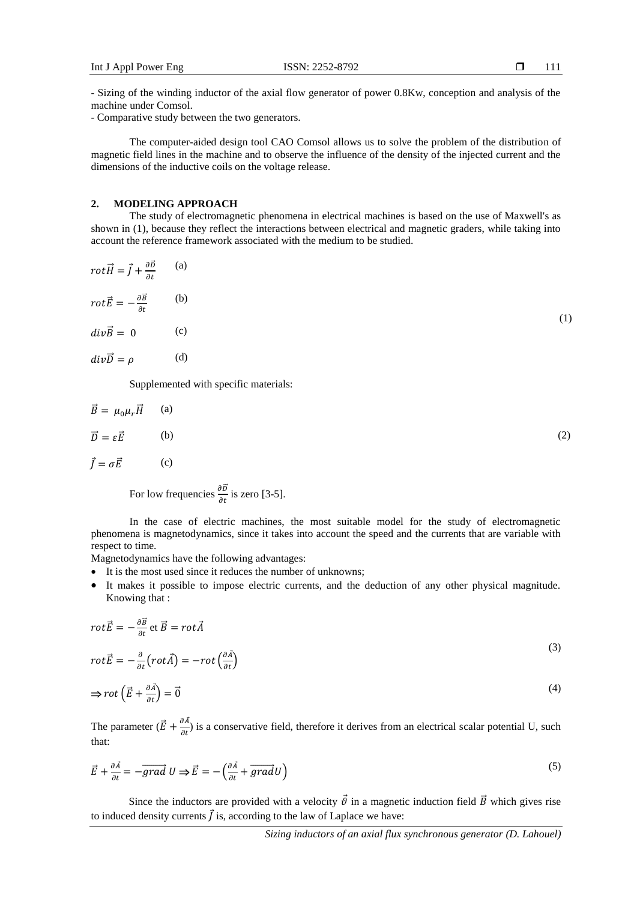- Sizing of the winding inductor of the axial flow generator of power 0.8Kw, conception and analysis of the machine under Comsol.

- Comparative study between the two generators.

The computer-aided design tool CAO Comsol allows us to solve the problem of the distribution of magnetic field lines in the machine and to observe the influence of the density of the injected current and the dimensions of the inductive coils on the voltage release.

#### **2. MODELING APPROACH**

The study of electromagnetic phenomena in electrical machines is based on the use of Maxwell's as shown in (1), because they reflect the interactions between electrical and magnetic graders, while taking into account the reference framework associated with the medium to be studied.

$$
rot\vec{H} = \vec{J} + \frac{\partial \vec{D}}{\partial t}
$$
 (a)  

$$
rot\vec{E} = -\frac{\partial \vec{B}}{\partial t}
$$
 (b)  

$$
div\vec{B} = 0
$$
 (c)  

$$
div\vec{D} = \rho
$$
 (d)

Supplemented with specific materials:

$$
\vec{B} = \mu_0 \mu_r \vec{H} \qquad (a)
$$
  

$$
\vec{D} = \varepsilon \vec{E} \qquad (b)
$$
  

$$
\vec{J} = \sigma \vec{E} \qquad (c)
$$

For low frequencies  $\frac{\partial \vec{D}}{\partial t}$  is zero [3-5].

In the case of electric machines, the most suitable model for the study of electromagnetic phenomena is magnetodynamics, since it takes into account the speed and the currents that are variable with respect to time.

Magnetodynamics have the following advantages:

- It is the most used since it reduces the number of unknowns;
- It makes it possible to impose electric currents, and the deduction of any other physical magnitude. Knowing that :

$$
rot\vec{E} = -\frac{\partial \vec{B}}{\partial t} \text{ et } \vec{B} = rot\vec{A}
$$
\n(3)

$$
rot\vec{E} = -\frac{\partial}{\partial t}\left( rot\vec{A}\right) = -rot\left(\frac{\partial \vec{A}}{\partial t}\right)
$$

$$
\Rightarrow rot\left(\vec{E} + \frac{\partial \vec{A}}{\partial t}\right) = \vec{0}
$$
\n(4)

The parameter  $(\vec{E} + \frac{\partial A}{\partial t})$  is a conservative field, therefore it derives from an electrical scalar potential U, such that:

$$
\vec{E} + \frac{\partial \vec{A}}{\partial t} = -\overrightarrow{grad} \ U \Rightarrow \vec{E} = -\left(\frac{\partial \vec{A}}{\partial t} + \overrightarrow{grad} \ Uright) \tag{5}
$$

Since the inductors are provided with a velocity  $\vec{\theta}$  in a magnetic induction field  $\vec{B}$  which gives rise to induced density currents  $\vec{J}$  is, according to the law of Laplace we have: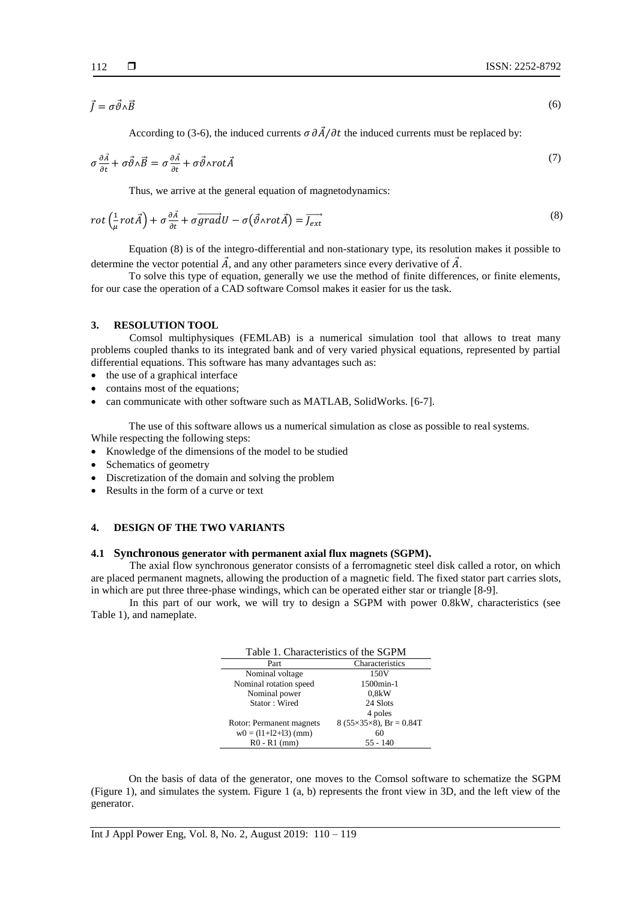$\vec{J} = \sigma \vec{\vartheta} \wedge \vec{B}$  (6)

According to (3-6), the induced currents  $\sigma \frac{\partial \vec{A}}{\partial t}$  the induced currents must be replaced by:

$$
\sigma \frac{\partial \vec{A}}{\partial t} + \sigma \vec{\vartheta} \wedge \vec{B} = \sigma \frac{\partial \vec{A}}{\partial t} + \sigma \vec{\vartheta} \wedge \text{rot} \vec{A}
$$
\n<sup>(7)</sup>

Thus, we arrive at the general equation of magnetodynamics:

$$
rot\left(\frac{1}{\mu}rot\vec{A}\right) + \sigma\frac{\partial\vec{A}}{\partial t} + \sigma\overrightarrow{grad}U - \sigma(\vec{\vartheta} \wedge rot\vec{A}) = \overrightarrow{J_{ext}}
$$
\n(8)

Equation (8) is of the integro-differential and non-stationary type, its resolution makes it possible to determine the vector potential  $\vec{A}$ , and any other parameters since every derivative of  $\vec{A}$ .

To solve this type of equation, generally we use the method of finite differences, or finite elements, for our case the operation of a CAD software Comsol makes it easier for us the task.

## **3. RESOLUTION TOOL**

Comsol multiphysiques (FEMLAB) is a numerical simulation tool that allows to treat many problems coupled thanks to its integrated bank and of very varied physical equations, represented by partial differential equations. This software has many advantages such as:

- the use of a graphical interface
- contains most of the equations;
- can communicate with other software such as MATLAB, SolidWorks. [6-7].

The use of this software allows us a numerical simulation as close as possible to real systems. While respecting the following steps:

- Knowledge of the dimensions of the model to be studied
- Schematics of geometry
- Discretization of the domain and solving the problem
- Results in the form of a curve or text

# **4. DESIGN OF THE TWO VARIANTS**

#### **4.1 Synchronous generator with permanent axial flux magnets (SGPM).**

The axial flow synchronous generator consists of a ferromagnetic steel disk called a rotor, on which are placed permanent magnets, allowing the production of a magnetic field. The fixed stator part carries slots, in which are put three three-phase windings, which can be operated either star or triangle [8-9].

In this part of our work, we will try to design a SGPM with power 0.8kW, characteristics (see Table 1), and nameplate.

| Table 1. Characteristics of the SGPM |                                     |  |  |  |
|--------------------------------------|-------------------------------------|--|--|--|
| Part                                 | Characteristics                     |  |  |  |
| Nominal voltage                      | 150V                                |  |  |  |
| Nominal rotation speed               | 1500min-1                           |  |  |  |
| Nominal power                        | 0.8kW                               |  |  |  |
| Stator: Wired                        | 24 Slots                            |  |  |  |
|                                      | 4 poles                             |  |  |  |
| Rotor: Permanent magnets             | $8(55\times35\times8)$ , Br = 0.84T |  |  |  |
| $w0 = (11+12+13)$ (mm)               | 60                                  |  |  |  |
| $R0 - R1$ (mm)                       | $55 - 140$                          |  |  |  |

On the basis of data of the generator, one moves to the Comsol software to schematize the SGPM (Figure 1), and simulates the system. Figure 1 (a, b) represents the front view in 3D, and the left view of the generator.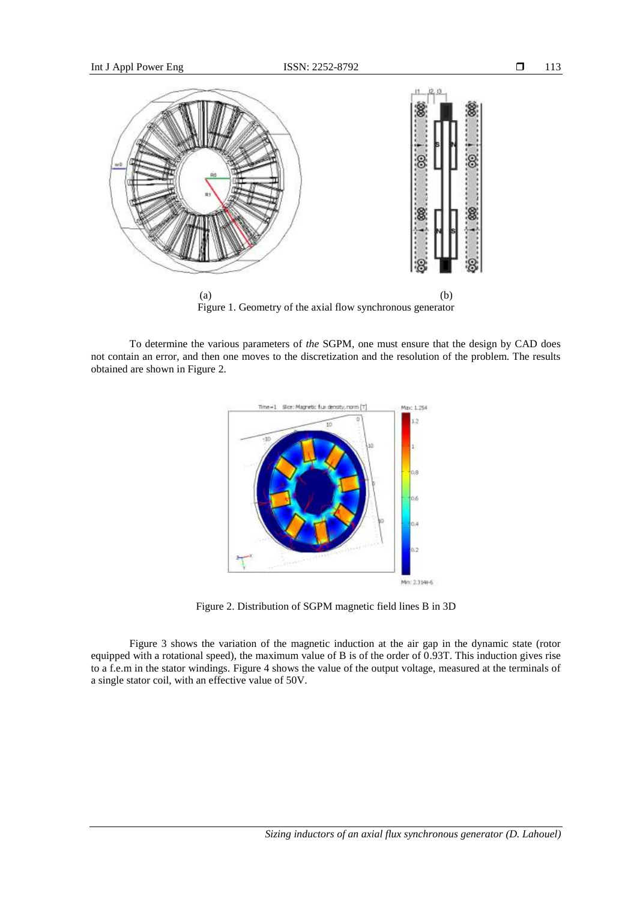

Figure 1. Geometry of the axial flow synchronous generator

To determine the various parameters of *the* SGPM*,* one must ensure that the design by CAD does not contain an error, and then one moves to the discretization and the resolution of the problem. The results obtained are shown in Figure 2.



Figure 2. Distribution of SGPM magnetic field lines B in 3D

Figure 3 shows the variation of the magnetic induction at the air gap in the dynamic state (rotor equipped with a rotational speed), the maximum value of B is of the order of 0.93T. This induction gives rise to a f.e.m in the stator windings. Figure 4 shows the value of the output voltage, measured at the terminals of a single stator coil, with an effective value of 50V.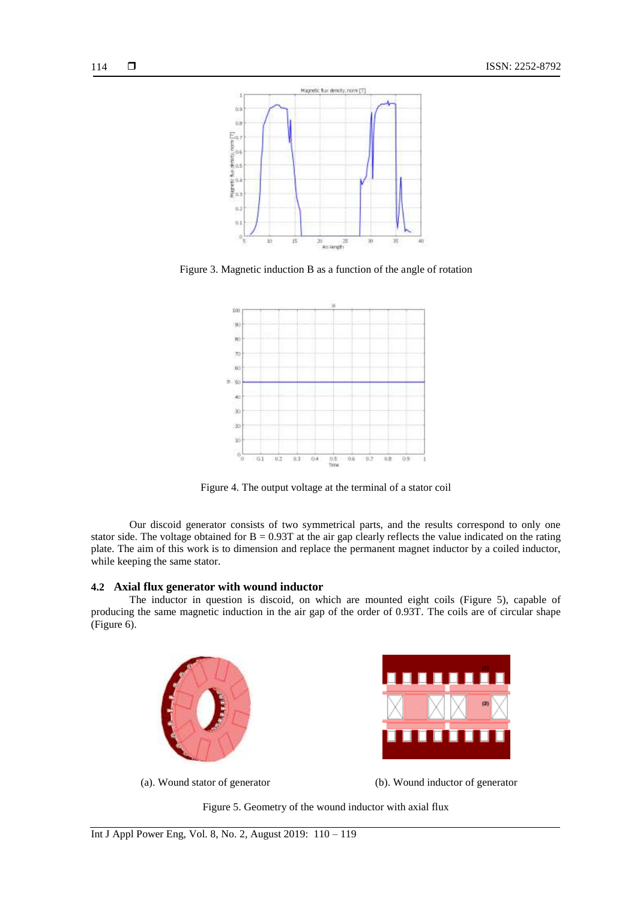

Figure 3. Magnetic induction B as a function of the angle of rotation



Figure 4. The output voltage at the terminal of a stator coil

Our discoid generator consists of two symmetrical parts, and the results correspond to only one stator side. The voltage obtained for  $B = 0.93T$  at the air gap clearly reflects the value indicated on the rating plate. The aim of this work is to dimension and replace the permanent magnet inductor by a coiled inductor, while keeping the same stator.

## **4.2 Axial flux generator with wound inductor**

The inductor in question is discoid, on which are mounted eight coils (Figure 5), capable of producing the same magnetic induction in the air gap of the order of 0.93T. The coils are of circular shape (Figure 6).





(a). Wound stator of generator (b). Wound inductor of generator

Figure 5. Geometry of the wound inductor with axial flux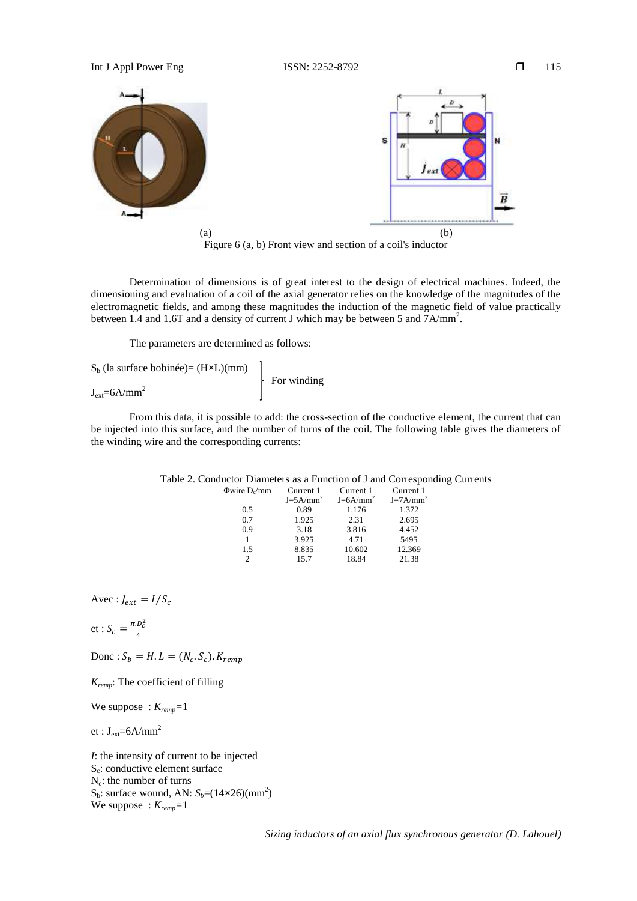

Determination of dimensions is of great interest to the design of electrical machines. Indeed, the dimensioning and evaluation of a coil of the axial generator relies on the knowledge of the magnitudes of the electromagnetic fields, and among these magnitudes the induction of the magnetic field of value practically between 1.4 and 1.6T and a density of current J which may be between 5 and  $7A/mm^2$ .

The parameters are determined as follows:

| $S_h$ (la surface bobinée)= $(H \times L)(mm)$ |                           |
|------------------------------------------------|---------------------------|
| $J_{ext} = 6A/mm^2$                            | $\frac{1}{2}$ For winding |

From this data, it is possible to add: the cross-section of the conductive element, the current that can be injected into this surface, and the number of turns of the coil. The following table gives the diameters of the winding wire and the corresponding currents:

| $\Phi$ wire D <sub>o</sub> /mm | Current 1   | Current 1   | Current 1   |
|--------------------------------|-------------|-------------|-------------|
|                                | $J=5A/mm^2$ | $J=6A/mm^2$ | $J=7A/mm^2$ |
| 0.5                            | 0.89        | 1.176       | 1.372       |
| 0.7                            | 1.925       | 2.31        | 2.695       |
| 0.9                            | 3.18        | 3.816       | 4.452       |
|                                | 3.925       | 4.71        | 5495        |
| 1.5                            | 8.835       | 10.602      | 12.369      |
|                                | 15.7        | 18.84       | 21.38       |
|                                |             |             |             |

## Table 2. Conductor Diameters as a Function of J and Corresponding Currents

Avec :  $J_{ext} = I/S_c$ 

et: 
$$
S_c = \frac{\pi D_c^2}{4}
$$

Donc:  $S_b = H.L = (N_c.S_c).$ 

*Kremp*: The coefficient of filling

We suppose : *Kremp=*1

et :  $J_{ext}=6A/mm^2$ 

*I*: the intensity of current to be injected S<sub>c</sub>: conductive element surface  $N_c$ : the number of turns  $S_b$ : surface wound, AN:  $S_b = (14 \times 26)(\text{mm}^2)$ We suppose : *Kremp=*1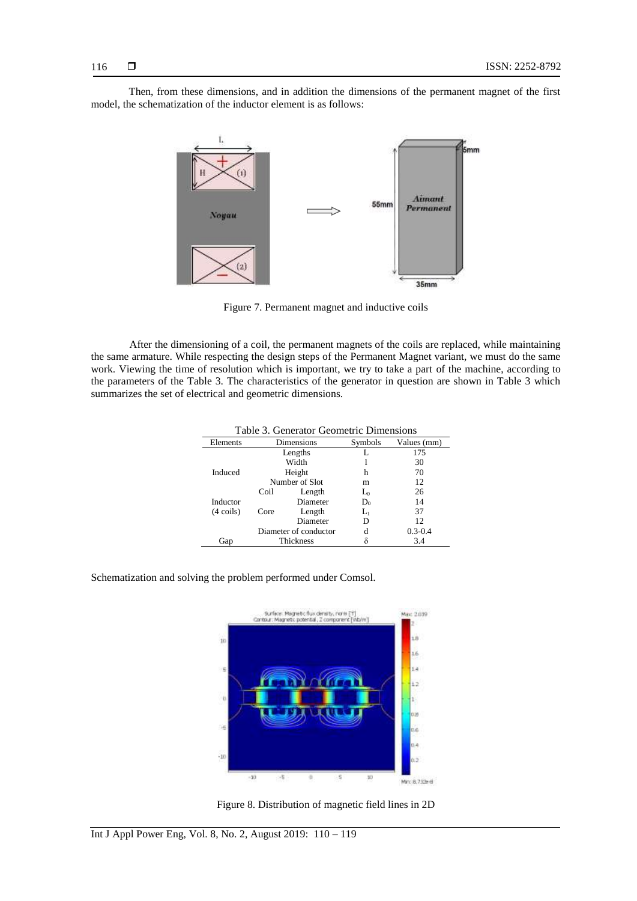Then, from these dimensions, and in addition the dimensions of the permanent magnet of the first model, the schematization of the inductor element is as follows:



Figure 7. Permanent magnet and inductive coils

After the dimensioning of a coil, the permanent magnets of the coils are replaced, while maintaining the same armature. While respecting the design steps of the Permanent Magnet variant, we must do the same work. Viewing the time of resolution which is important, we try to take a part of the machine, according to the parameters of the Table 3. The characteristics of the generator in question are shown in Table 3 which summarizes the set of electrical and geometric dimensions.

| Table 5. Generator Geometric Dimensions |                            |                |                                    |             |  |
|-----------------------------------------|----------------------------|----------------|------------------------------------|-------------|--|
| Elements                                | Dimensions                 |                | Symbols                            | Values (mm) |  |
|                                         | Lengths<br>Width<br>Height |                |                                    | 175         |  |
|                                         |                            |                |                                    | 30          |  |
| Induced                                 |                            |                | h                                  | 70          |  |
|                                         |                            | Number of Slot | m                                  | 12          |  |
|                                         | Coil                       | Length         | $\mathop{\hbox{\rm L}}\nolimits_0$ | 26          |  |
| Inductor                                |                            | Diameter       | $D_0$                              | 14          |  |
| $(4 \text{ coils})$                     | Core                       | Length         | $\Gamma^{}_{\!1}$                  | 37          |  |
|                                         |                            | Diameter       | D                                  | 12          |  |
|                                         | Diameter of conductor      |                | d                                  | $0.3 - 0.4$ |  |
| Gap                                     | Thickness                  |                |                                    | 3.4         |  |

Table 3. Generator Geometric Dimensions

Schematization and solving the problem performed under Comsol.



Figure 8. Distribution of magnetic field lines in 2D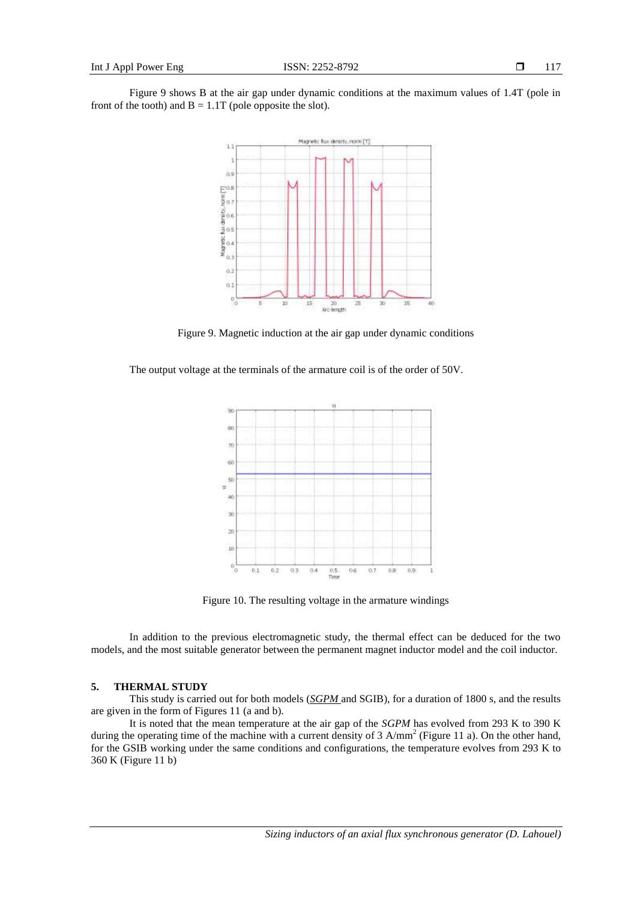

Figure 9. Magnetic induction at the air gap under dynamic conditions

The output voltage at the terminals of the armature coil is of the order of 50V.



Figure 10. The resulting voltage in the armature windings

In addition to the previous electromagnetic study, the thermal effect can be deduced for the two models, and the most suitable generator between the permanent magnet inductor model and the coil inductor.

### **5. THERMAL STUDY**

This study is carried out for both models (*SGPM* and SGIB), for a duration of 1800 s, and the results are given in the form of Figures 11 (a and b).

It is noted that the mean temperature at the air gap of the *SGPM* has evolved from 293 K to 390 K during the operating time of the machine with a current density of 3  $A/mm^2$  (Figure 11 a). On the other hand, for the GSIB working under the same conditions and configurations, the temperature evolves from 293 K to 360 K (Figure 11 b)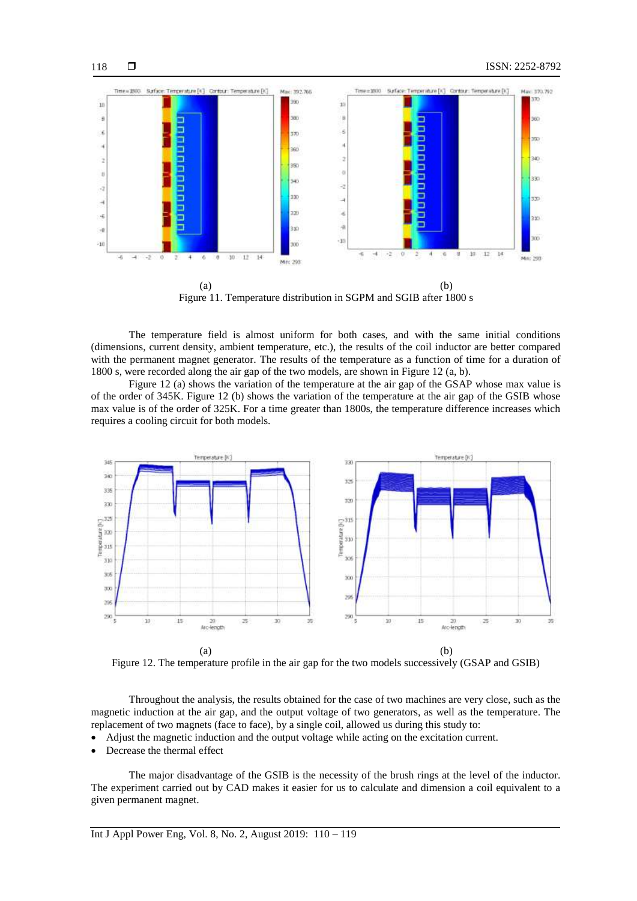

Figure 11. Temperature distribution in SGPM and SGIB after 1800 s

The temperature field is almost uniform for both cases, and with the same initial conditions (dimensions, current density, ambient temperature, etc.), the results of the coil inductor are better compared with the permanent magnet generator. The results of the temperature as a function of time for a duration of 1800 s, were recorded along the air gap of the two models, are shown in Figure 12 (a, b).

Figure 12 (a) shows the variation of the temperature at the air gap of the GSAP whose max value is of the order of 345K. Figure 12 (b) shows the variation of the temperature at the air gap of the GSIB whose max value is of the order of 325K. For a time greater than 1800s, the temperature difference increases which requires a cooling circuit for both models.



Figure 12. The temperature profile in the air gap for the two models successively (GSAP and GSIB)

Throughout the analysis, the results obtained for the case of two machines are very close, such as the magnetic induction at the air gap, and the output voltage of two generators, as well as the temperature. The replacement of two magnets (face to face), by a single coil, allowed us during this study to:

- Adjust the magnetic induction and the output voltage while acting on the excitation current.
- Decrease the thermal effect

The major disadvantage of the GSIB is the necessity of the brush rings at the level of the inductor. The experiment carried out by CAD makes it easier for us to calculate and dimension a coil equivalent to a given permanent magnet.